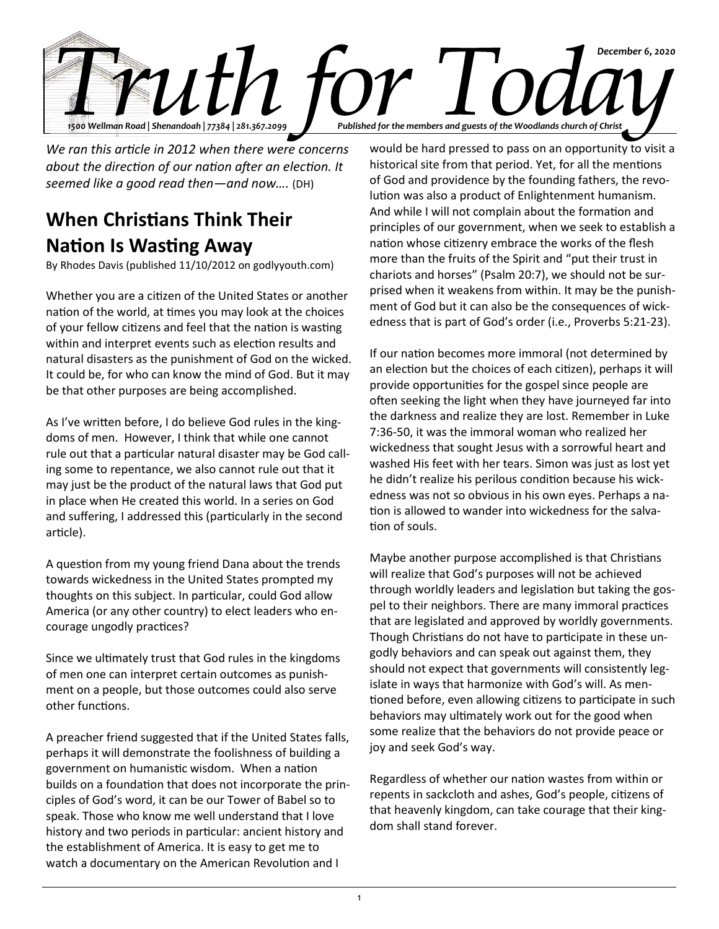

*We ran this article in 2012 when there were concerns about the direction of our nation after an election. It seemed like a good read then—and now….* (DH)

## **When Christians Think Their Nation Is Wasting Away**

By Rhodes Davis (published 11/10/2012 on godlyyouth.com)

Whether you are a citizen of the United States or another nation of the world, at times you may look at the choices of your fellow citizens and feel that the nation is wasting within and interpret events such as election results and natural disasters as the punishment of God on the wicked. It could be, for who can know the mind of God. But it may be that other purposes are being accomplished.

As I've written before, I do believe God rules in the kingdoms of men. However, I think that while one cannot rule out that a particular natural disaster may be God calling some to repentance, we also cannot rule out that it may just be the product of the natural laws that God put in place when He created this world. In a series on God and suffering, I addressed this (particularly in the second article).

A question from my young friend Dana about the trends towards wickedness in the United States prompted my thoughts on this subject. In particular, could God allow America (or any other country) to elect leaders who encourage ungodly practices?

Since we ultimately trust that God rules in the kingdoms of men one can interpret certain outcomes as punishment on a people, but those outcomes could also serve other functions.

A preacher friend suggested that if the United States falls, perhaps it will demonstrate the foolishness of building a government on humanistic wisdom. When a nation builds on a foundation that does not incorporate the principles of God's word, it can be our Tower of Babel so to speak. Those who know me well understand that I love history and two periods in particular: ancient history and the establishment of America. It is easy to get me to watch a documentary on the American Revolution and I

would be hard pressed to pass on an opportunity to visit a historical site from that period. Yet, for all the mentions of God and providence by the founding fathers, the revolution was also a product of Enlightenment humanism. And while I will not complain about the formation and principles of our government, when we seek to establish a nation whose citizenry embrace the works of the flesh more than the fruits of the Spirit and "put their trust in chariots and horses" (Psalm 20:7), we should not be surprised when it weakens from within. It may be the punishment of God but it can also be the consequences of wickedness that is part of God's order (i.e., Proverbs 5:21-23).

If our nation becomes more immoral (not determined by an election but the choices of each citizen), perhaps it will provide opportunities for the gospel since people are often seeking the light when they have journeyed far into the darkness and realize they are lost. Remember in Luke 7:36-50, it was the immoral woman who realized her wickedness that sought Jesus with a sorrowful heart and washed His feet with her tears. Simon was just as lost yet he didn't realize his perilous condition because his wickedness was not so obvious in his own eyes. Perhaps a nation is allowed to wander into wickedness for the salvation of souls.

Maybe another purpose accomplished is that Christians will realize that God's purposes will not be achieved through worldly leaders and legislation but taking the gospel to their neighbors. There are many immoral practices that are legislated and approved by worldly governments. Though Christians do not have to participate in these ungodly behaviors and can speak out against them, they should not expect that governments will consistently legislate in ways that harmonize with God's will. As mentioned before, even allowing citizens to participate in such behaviors may ultimately work out for the good when some realize that the behaviors do not provide peace or joy and seek God's way.

Regardless of whether our nation wastes from within or repents in sackcloth and ashes, God's people, citizens of that heavenly kingdom, can take courage that their kingdom shall stand forever.